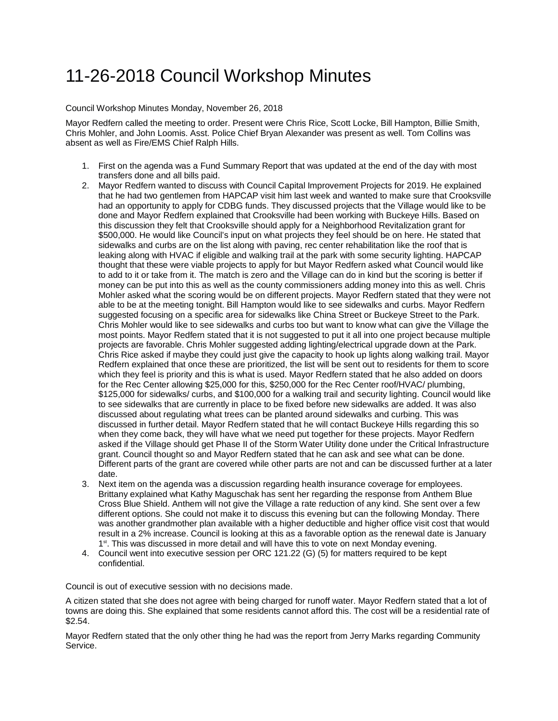## 11-26-2018 Council Workshop Minutes

Council Workshop Minutes Monday, November 26, 2018

Mayor Redfern called the meeting to order. Present were Chris Rice, Scott Locke, Bill Hampton, Billie Smith, Chris Mohler, and John Loomis. Asst. Police Chief Bryan Alexander was present as well. Tom Collins was absent as well as Fire/EMS Chief Ralph Hills.

- 1. First on the agenda was a Fund Summary Report that was updated at the end of the day with most transfers done and all bills paid.
- 2. Mayor Redfern wanted to discuss with Council Capital Improvement Projects for 2019. He explained that he had two gentlemen from HAPCAP visit him last week and wanted to make sure that Crooksville had an opportunity to apply for CDBG funds. They discussed projects that the Village would like to be done and Mayor Redfern explained that Crooksville had been working with Buckeye Hills. Based on this discussion they felt that Crooksville should apply for a Neighborhood Revitalization grant for \$500,000. He would like Council's input on what projects they feel should be on here. He stated that sidewalks and curbs are on the list along with paving, rec center rehabilitation like the roof that is leaking along with HVAC if eligible and walking trail at the park with some security lighting. HAPCAP thought that these were viable projects to apply for but Mayor Redfern asked what Council would like to add to it or take from it. The match is zero and the Village can do in kind but the scoring is better if money can be put into this as well as the county commissioners adding money into this as well. Chris Mohler asked what the scoring would be on different projects. Mayor Redfern stated that they were not able to be at the meeting tonight. Bill Hampton would like to see sidewalks and curbs. Mayor Redfern suggested focusing on a specific area for sidewalks like China Street or Buckeye Street to the Park. Chris Mohler would like to see sidewalks and curbs too but want to know what can give the Village the most points. Mayor Redfern stated that it is not suggested to put it all into one project because multiple projects are favorable. Chris Mohler suggested adding lighting/electrical upgrade down at the Park. Chris Rice asked if maybe they could just give the capacity to hook up lights along walking trail. Mayor Redfern explained that once these are prioritized, the list will be sent out to residents for them to score which they feel is priority and this is what is used. Mayor Redfern stated that he also added on doors for the Rec Center allowing \$25,000 for this, \$250,000 for the Rec Center roof/HVAC/ plumbing, \$125,000 for sidewalks/ curbs, and \$100,000 for a walking trail and security lighting. Council would like to see sidewalks that are currently in place to be fixed before new sidewalks are added. It was also discussed about regulating what trees can be planted around sidewalks and curbing. This was discussed in further detail. Mayor Redfern stated that he will contact Buckeye Hills regarding this so when they come back, they will have what we need put together for these projects. Mayor Redfern asked if the Village should get Phase II of the Storm Water Utility done under the Critical Infrastructure grant. Council thought so and Mayor Redfern stated that he can ask and see what can be done. Different parts of the grant are covered while other parts are not and can be discussed further at a later date.
- 3. Next item on the agenda was a discussion regarding health insurance coverage for employees. Brittany explained what Kathy Maguschak has sent her regarding the response from Anthem Blue Cross Blue Shield. Anthem will not give the Village a rate reduction of any kind. She sent over a few different options. She could not make it to discuss this evening but can the following Monday. There was another grandmother plan available with a higher deductible and higher office visit cost that would result in a 2% increase. Council is looking at this as a favorable option as the renewal date is January 1<sup>st</sup>. This was discussed in more detail and will have this to vote on next Monday evening.
- 4. Council went into executive session per ORC 121.22 (G) (5) for matters required to be kept confidential.

Council is out of executive session with no decisions made.

A citizen stated that she does not agree with being charged for runoff water. Mayor Redfern stated that a lot of towns are doing this. She explained that some residents cannot afford this. The cost will be a residential rate of \$2.54.

Mayor Redfern stated that the only other thing he had was the report from Jerry Marks regarding Community Service.